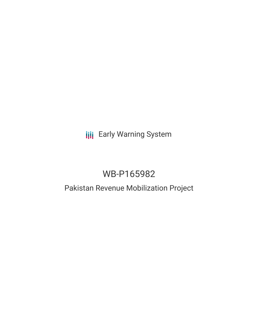# **III** Early Warning System

# WB-P165982

## Pakistan Revenue Mobilization Project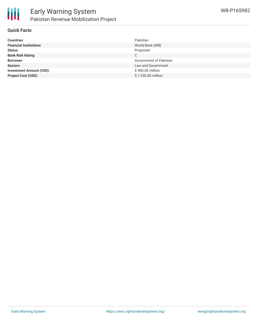

### **Quick Facts**

| <b>Countries</b>               | Pakistan               |
|--------------------------------|------------------------|
| <b>Financial Institutions</b>  | World Bank (WB)        |
| <b>Status</b>                  | Proposed               |
| <b>Bank Risk Rating</b>        | С                      |
| <b>Borrower</b>                | Government of Pakistan |
| <b>Sectors</b>                 | Law and Government     |
| <b>Investment Amount (USD)</b> | \$400.00 million       |
| <b>Project Cost (USD)</b>      | \$1,100.00 million     |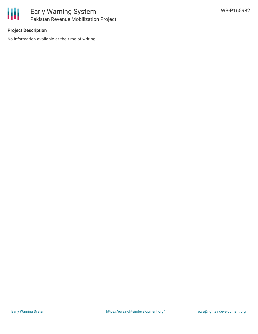

## **Project Description**

No information available at the time of writing.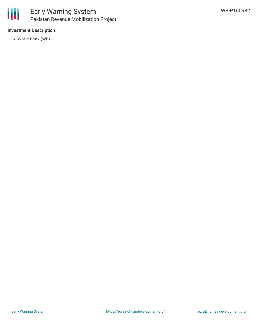## **Investment Description**

World Bank (WB)